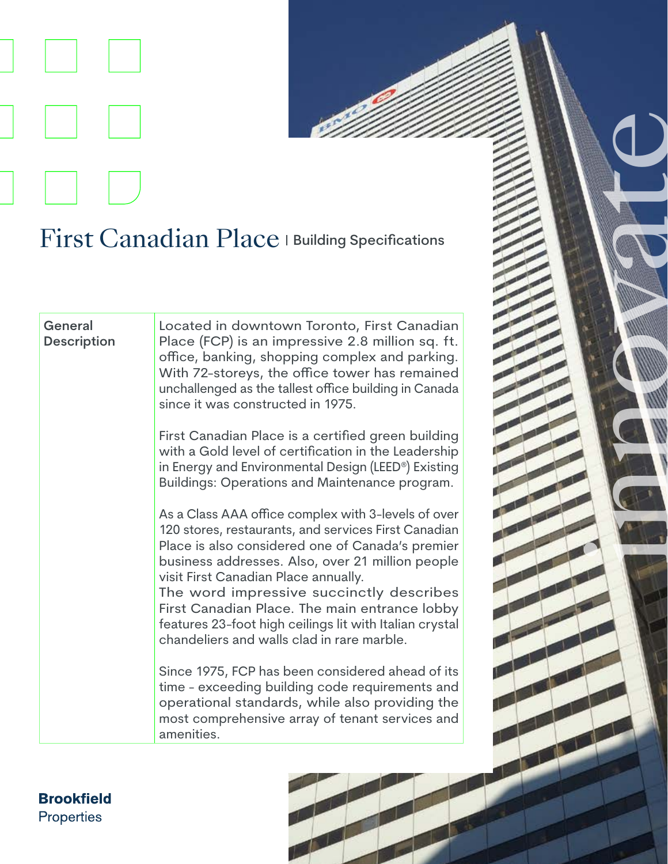## First Canadian Place | Building Specifications

**General Description** Located in downtown Toronto, First Canadian Place (FCP) is an impressive 2.8 million sq. ft. office, banking, shopping complex and parking. With 72-storeys, the office tower has remained unchallenged as the tallest office building in Canada since it was constructed in 1975.

in 1996 and 1997

First Canadian Place is a certified green building with a Gold level of certification in the Leadership in Energy and Environmental Design (LEED®) Existing Buildings: Operations and Maintenance program.

As a Class AAA office complex with 3-levels of over 120 stores, restaurants, and services First Canadian Place is also considered one of Canada's premier business addresses. Also, over 21 million people visit First Canadian Place annually.

The word impressive succinctly describes First Canadian Place. The main entrance lobby features 23-foot high ceilings lit with Italian crystal chandeliers and walls clad in rare marble.

Since 1975, FCP has been considered ahead of its time - exceeding building code requirements and operational standards, while also providing the most comprehensive array of tenant services and amenities.

**Brookfield Properties**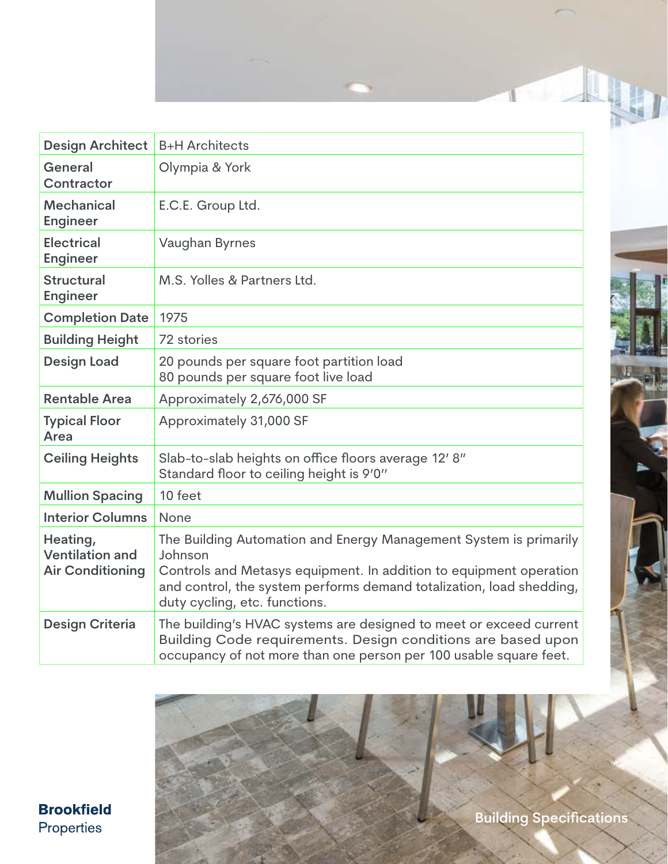

| <b>Design Architect</b>                                       | <b>B+H Architects</b>                                                                                                                                                                                                                                       |
|---------------------------------------------------------------|-------------------------------------------------------------------------------------------------------------------------------------------------------------------------------------------------------------------------------------------------------------|
| General<br>Contractor                                         | Olympia & York                                                                                                                                                                                                                                              |
| <b>Mechanical</b><br><b>Engineer</b>                          | E.C.E. Group Ltd.                                                                                                                                                                                                                                           |
| <b>Electrical</b><br><b>Engineer</b>                          | Vaughan Byrnes                                                                                                                                                                                                                                              |
| <b>Structural</b><br><b>Engineer</b>                          | M.S. Yolles & Partners Ltd.                                                                                                                                                                                                                                 |
| <b>Completion Date</b>                                        | 1975                                                                                                                                                                                                                                                        |
| <b>Building Height</b>                                        | 72 stories                                                                                                                                                                                                                                                  |
| <b>Design Load</b>                                            | 20 pounds per square foot partition load<br>80 pounds per square foot live load                                                                                                                                                                             |
| <b>Rentable Area</b>                                          | Approximately 2,676,000 SF                                                                                                                                                                                                                                  |
| <b>Typical Floor</b><br>Area                                  | Approximately 31,000 SF                                                                                                                                                                                                                                     |
| <b>Ceiling Heights</b>                                        | Slab-to-slab heights on office floors average 12' 8"<br>Standard floor to ceiling height is 9'0"                                                                                                                                                            |
| <b>Mullion Spacing</b>                                        | 10 feet                                                                                                                                                                                                                                                     |
| <b>Interior Columns</b>                                       | None                                                                                                                                                                                                                                                        |
| Heating,<br><b>Ventilation and</b><br><b>Air Conditioning</b> | The Building Automation and Energy Management System is primarily<br>Johnson<br>Controls and Metasys equipment. In addition to equipment operation<br>and control, the system performs demand totalization, load shedding,<br>duty cycling, etc. functions. |
| <b>Design Criteria</b>                                        | The building's HVAC systems are designed to meet or exceed current<br>Building Code requirements. Design conditions are based upon<br>occupancy of not more than one person per 100 usable square feet.                                                     |

**Brookfield** Properties

**Building Specifications**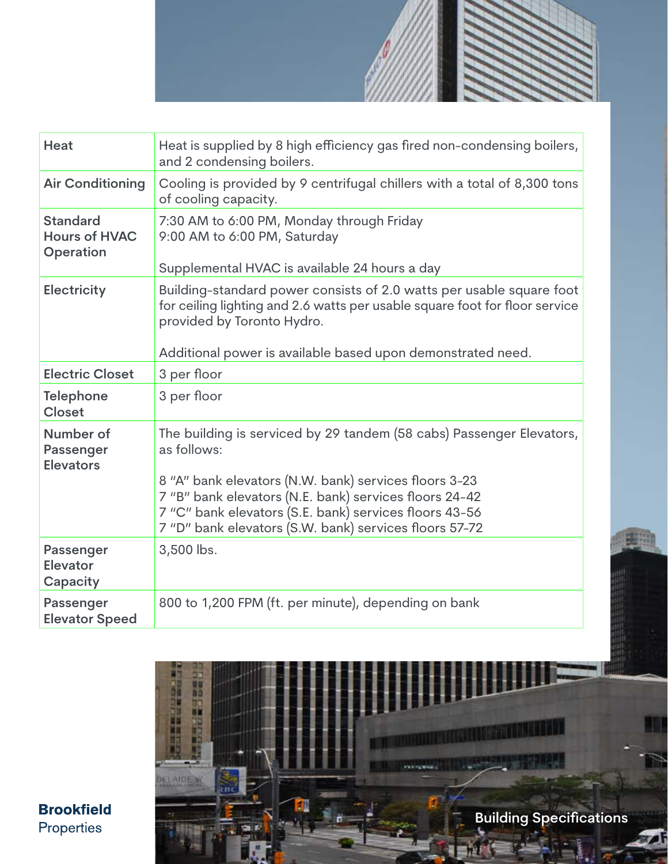

| Heat                                                 | Heat is supplied by 8 high efficiency gas fired non-condensing boilers,<br>and 2 condensing boilers.                                                                                                                                                                                                                       |
|------------------------------------------------------|----------------------------------------------------------------------------------------------------------------------------------------------------------------------------------------------------------------------------------------------------------------------------------------------------------------------------|
| <b>Air Conditioning</b>                              | Cooling is provided by 9 centrifugal chillers with a total of 8,300 tons<br>of cooling capacity.                                                                                                                                                                                                                           |
| <b>Standard</b><br><b>Hours of HVAC</b><br>Operation | 7:30 AM to 6:00 PM, Monday through Friday<br>9:00 AM to 6:00 PM, Saturday<br>Supplemental HVAC is available 24 hours a day                                                                                                                                                                                                 |
| <b>Electricity</b>                                   | Building-standard power consists of 2.0 watts per usable square foot<br>for ceiling lighting and 2.6 watts per usable square foot for floor service<br>provided by Toronto Hydro.<br>Additional power is available based upon demonstrated need.                                                                           |
| <b>Electric Closet</b>                               | 3 per floor                                                                                                                                                                                                                                                                                                                |
| <b>Telephone</b><br><b>Closet</b>                    | 3 per floor                                                                                                                                                                                                                                                                                                                |
| Number of<br>Passenger<br><b>Elevators</b>           | The building is serviced by 29 tandem (58 cabs) Passenger Elevators,<br>as follows:<br>8 "A" bank elevators (N.W. bank) services floors 3-23<br>7 "B" bank elevators (N.E. bank) services floors 24-42<br>7 "C" bank elevators (S.E. bank) services floors 43-56<br>7 "D" bank elevators (S.W. bank) services floors 57-72 |
| Passenger<br><b>Elevator</b><br>Capacity             | 3,500 lbs.                                                                                                                                                                                                                                                                                                                 |
| Passenger<br><b>Elevator Speed</b>                   | 800 to 1,200 FPM (ft. per minute), depending on bank                                                                                                                                                                                                                                                                       |



運出

**Brookfield** Properties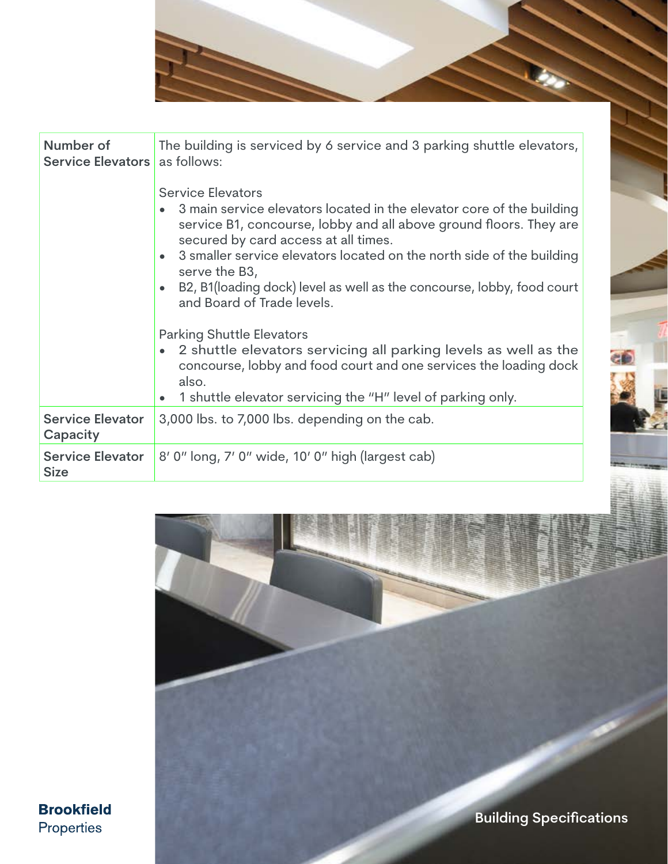| Number of<br><b>Service Elevators</b>  | The building is serviced by 6 service and 3 parking shuttle elevators,<br>as follows:<br><b>Service Elevators</b><br>3 main service elevators located in the elevator core of the building<br>service B1, concourse, lobby and all above ground floors. They are<br>secured by card access at all times.<br>3 smaller service elevators located on the north side of the building<br>serve the B3,<br>B2, B1(loading dock) level as well as the concourse, lobby, food court<br>and Board of Trade levels.<br><b>Parking Shuttle Elevators</b><br>2 shuttle elevators servicing all parking levels as well as the<br>concourse, lobby and food court and one services the loading dock<br>also.<br>1 shuttle elevator servicing the "H" level of parking only. |
|----------------------------------------|----------------------------------------------------------------------------------------------------------------------------------------------------------------------------------------------------------------------------------------------------------------------------------------------------------------------------------------------------------------------------------------------------------------------------------------------------------------------------------------------------------------------------------------------------------------------------------------------------------------------------------------------------------------------------------------------------------------------------------------------------------------|
| <b>Service Elevator</b><br>Capacity    | 3,000 lbs. to 7,000 lbs. depending on the cab.                                                                                                                                                                                                                                                                                                                                                                                                                                                                                                                                                                                                                                                                                                                 |
| <b>Service Elevator</b><br><b>Size</b> | 8' 0" long, 7' 0" wide, 10' 0" high (largest cab)                                                                                                                                                                                                                                                                                                                                                                                                                                                                                                                                                                                                                                                                                                              |
|                                        |                                                                                                                                                                                                                                                                                                                                                                                                                                                                                                                                                                                                                                                                                                                                                                |



**Brookfield** Properties